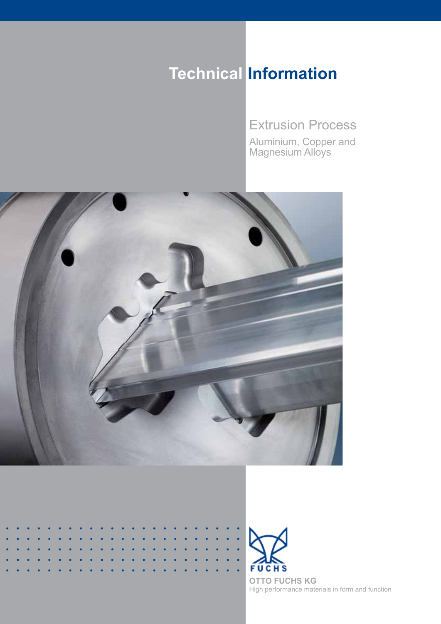# **Technical Information**

Extrusion Process

Aluminium, Copper and Magnesium Alloys



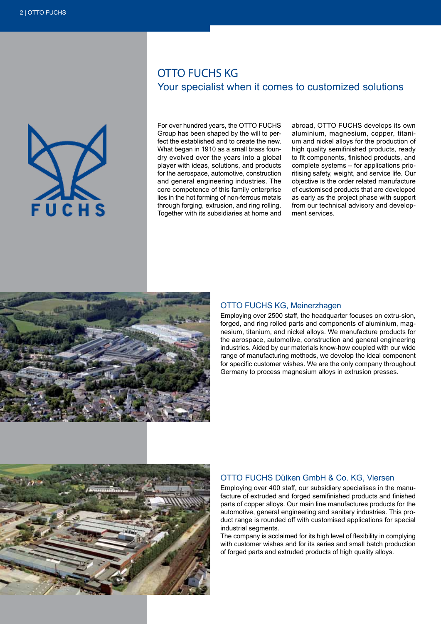

# OTTO FUCHS KG Your specialist when it comes to customized solutions

For over hundred years, the OTTO FUCHS Group has been shaped by the will to perfect the established and to create the new. What began in 1910 as a small brass foundry evolved over the years into a global player with ideas, solutions, and products for the aerospace, automotive, construction and general engineering industries. The core competence of this family enterprise lies in the hot forming of non-ferrous metals through forging, extrusion, and ring rolling. Together with its subsidiaries at home and

abroad, OTTO FUCHS develops its own aluminium, magnesium, copper, titanium and nickel alloys for the production of high quality semifinished products, ready to fit components, finished products, and complete systems – for applications prioritising safety, weight, and service life. Our objective is the order related manufacture of customised products that are developed as early as the project phase with support from our technical advisory and development services.



# OTTO FUCHS KG, Meinerzhagen

Employing over 2500 staff, the headquarter focuses on extru-sion, forged, and ring rolled parts and components of aluminium, magnesium, titanium, and nickel alloys. We manufacture products for the aerospace, automotive, construction and general engineering industries. Aided by our materials know-how coupled with our wide range of manufacturing methods, we develop the ideal component for specific customer wishes. We are the only company throughout Germany to process magnesium alloys in extrusion presses.



## OTTO FUCHS Dülken GmbH & Co. KG, Viersen

Employing over 400 staff, our subsidiary specialises in the manufacture of extruded and forged semifinished products and finished parts of copper alloys. Our main line manufactures products for the automotive, general engineering and sanitary industries. This product range is rounded off with customised applications for special industrial segments.

The company is acclaimed for its high level of flexibility in complying with customer wishes and for its series and small batch production of forged parts and extruded products of high quality alloys.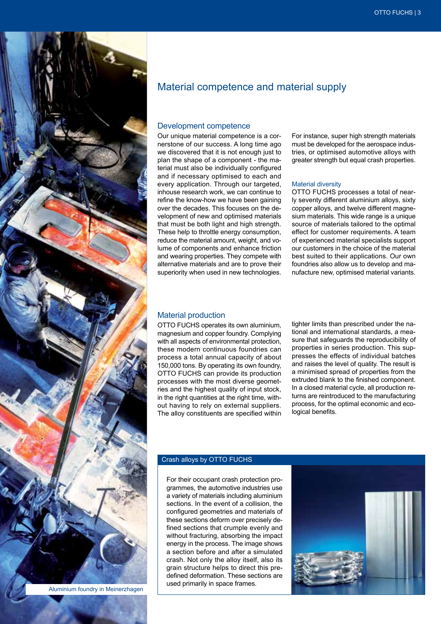

Aluminium foundry in Meinerzhagen

# Material competence and material supply

## Development competence

Our unique material competence is a cornerstone of our success. A long time ago we discovered that it is not enough just to plan the shape of a component - the material must also be individually configured and if necessary optimised to each and every application. Through our targeted, inhouse research work, we can continue to refine the know-how we have been gaining over the decades. This focuses on the development of new and optimised materials that must be both light and high strength. These help to throttle energy consumption, reduce the material amount, weight, and volume of components and enhance friction and wearing properties. They compete with alternative materials and are to prove their superiority when used in new technologies.

For instance, super high strength materials must be developed for the aerospace industries, or optimised automotive alloys with greater strength but equal crash properties.

#### Material diversity

OTTO FUCHS processes a total of nearly seventy different aluminium alloys, sixty copper alloys, and twelve different magnesium materials. This wide range is a unique source of materials tailored to the optimal effect for customer requirements. A team of experienced material specialists support our customers in the choice of the material best suited to their applications. Our own foundries also allow us to develop and manufacture new, optimised material variants.

### Material production

OTTO FUCHS operates its own aluminium, magnesium and copper foundry. Complying with all aspects of environmental protection. these modern continuous foundries can process a total annual capacity of about 150,000 tons. By operating its own foundry, OTTO FUCHS can provide its production processes with the most diverse geometries and the highest quality of input stock, in the right quantities at the right time, without having to rely on external suppliers. The alloy constituents are specified within

tighter limits than prescribed under the national and international standards, a measure that safeguards the reproducibility of properties in series production. This suppresses the effects of individual batches and raises the level of quality. The result is a minimised spread of properties from the extruded blank to the finished component. In a closed material cycle, all production returns are reintroduced to the manufacturing process, for the optimal economic and ecological benefits.

#### Crash alloys by OTTO FUCHS

For their occupant crash protection programmes, the automotive industries use a variety of materials including aluminium sections. In the event of a collision, the configured geometries and materials of these sections deform over precisely defined sections that crumple evenly and without fracturing, absorbing the impact energy in the process. The image shows a section before and after a simulated crash. Not only the alloy itself, also its grain structure helps to direct this predefined deformation. These sections are used primarily in space frames.

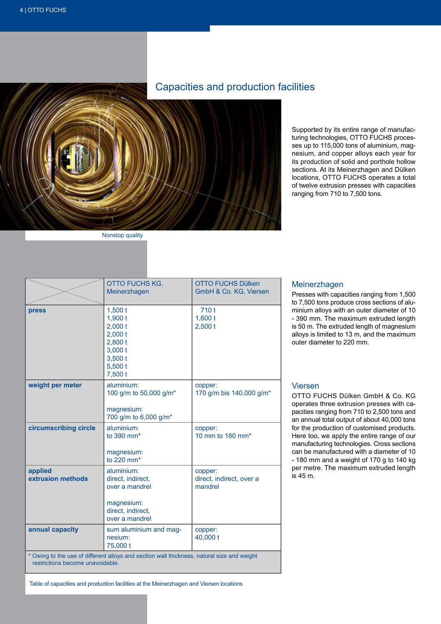# Capacities and production facilities



Nonstop quality

Supported by its entire range of manufacturing technologies, OTTO FUCHS processes up to 115,000 tons of aluminium, magnesium, and copper alloys each year for its production of solid and porthole hollow sections. At its Meinerzhagen and Dülken locations, OTTO FUCHS operates a total of twelve extrusion presses with capacities ranging from 710 to 7,500 tons.

|                                                                                            | OTTO FUCHS KG,<br>Meinerzhagen                                                                         | <b>OTTO FUCHS Dülken</b><br>GmbH & Co. KG, Viersen |
|--------------------------------------------------------------------------------------------|--------------------------------------------------------------------------------------------------------|----------------------------------------------------|
| press                                                                                      | 1,500t<br>1,900 t<br>$2,000$ t<br>$2,000$ t<br>$2,800$ t<br>3,000t<br>3,500t<br>5,500t<br>7,500 t      | 710t<br>1,600t<br>2,500t                           |
| weight per meter                                                                           | aluminium:<br>100 g/m to 50,000 g/m*<br>magnesium:<br>700 g/m to 6,000 g/m*                            | copper:<br>170 g/m bis 140,000 g/m*                |
| circumscribing circle                                                                      | aluminium:<br>to 390 mm <sup>*</sup><br>magnesium:<br>to 220 mm <sup>*</sup>                           | copper:<br>10 mm to 180 mm*                        |
| applied<br>extrusion methods                                                               | aluminium:<br>direct, indirect,<br>over a mandrel<br>magnesium:<br>direct, indirect,<br>over a mandrel | copper:<br>direct, indirect, over a<br>mandrel     |
| annual capacity                                                                            | sum aluminium and mag-<br>nesium:<br>75,000 t                                                          | copper:<br>40,000 t                                |
| * Owing to the use of different alloys and section wall thickness, natural size and weight |                                                                                                        |                                                    |

#### restrictions become unavoidable.

Table of capacities and production facilities at the Meinerzhagen and Viersen locations

#### Meinerzhagen

Presses with capacities ranging from 1,500 to 7,500 tons produce cross sections of aluminium alloys with an outer diameter of 10 - 390 mm. The maximum extruded length is 50 m. The extruded length of magnesium alloys is limited to 13 m, and the maximum outer diameter to 220 mm.

# Viersen

OTTO FUCHS Dülken GmbH & Co. KG operates three extrusion presses with capacities ranging from 710 to 2,500 tons and an annual total output of about 40,000 tons for the production of customised products. Here too, we apply the entire range of our manufacturing technologies. Cross sections can be manufactured with a diameter of 10 - 180 mm and a weight of 170 g to 140 kg per metre. The maximum extruded length is 45 m.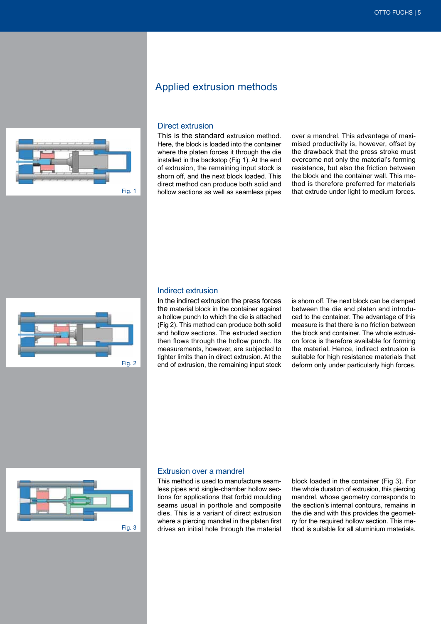

# Applied extrusion methods

## Direct extrusion

This is the standard extrusion method. Here, the block is loaded into the container where the platen forces it through the die installed in the backstop (Fig 1). At the end of extrusion, the remaining input stock is shorn off, and the next block loaded. This direct method can produce both solid and hollow sections as well as seamless pipes

over a mandrel. This advantage of maximised productivity is, however, offset by the drawback that the press stroke must overcome not only the material's forming resistance, but also the friction between the block and the container wall. This method is therefore preferred for materials that extrude under light to medium forces.



## Indirect extrusion

In the indirect extrusion the press forces the material block in the container against a hollow punch to which the die is attached (Fig 2). This method can produce both solid and hollow sections. The extruded section then flows through the hollow punch. Its measurements, however, are subjected to tighter limits than in direct extrusion. At the end of extrusion, the remaining input stock

is shorn off. The next block can be clamped between the die and platen and introduced to the container. The advantage of this measure is that there is no friction between the block and container. The whole extrusion force is therefore available for forming the material. Hence, indirect extrusion is suitable for high resistance materials that deform only under particularly high forces.



#### Extrusion over a mandrel

This method is used to manufacture seamless pipes and single-chamber hollow sections for applications that forbid moulding seams usual in porthole and composite dies. This is a variant of direct extrusion where a piercing mandrel in the platen first Fig.  $3$  drives an initial hole through the material thod is suitable for all aluminium materials.

block loaded in the container (Fig 3). For the whole duration of extrusion, this piercing mandrel, whose geometry corresponds to the section's internal contours, remains in the die and with this provides the geometry for the required hollow section. This me-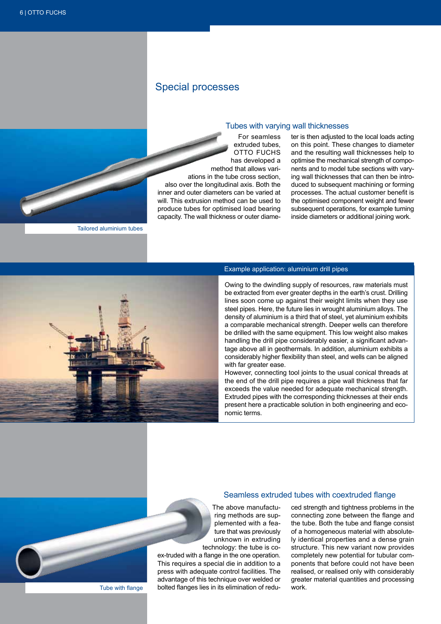# Special processes

#### Tubes with varying wall thicknesses

 For seamless extruded tubes, OTTO FUCHS has developed a method that allows variations in the tube cross section, also over the longitudinal axis. Both the inner and outer diameters can be varied at will. This extrusion method can be used to produce tubes for optimised load bearing capacity. The wall thickness or outer diameter is then adjusted to the local loads acting on this point. These changes to diameter and the resulting wall thicknesses help to optimise the mechanical strength of components and to model tube sections with varying wall thicknesses that can then be introduced to subsequent machining or forming processes. The actual customer benefit is the optimised component weight and fewer subsequent operations, for example turning inside diameters or additional joining work.

Tailored aluminium tubes



Tube with flange

#### Example application: aluminium drill pipes

Owing to the dwindling supply of resources, raw materials must be extracted from ever greater depths in the earth's crust. Drilling lines soon come up against their weight limits when they use steel pipes. Here, the future lies in wrought aluminium alloys. The density of aluminium is a third that of steel, yet aluminium exhibits a comparable mechanical strength. Deeper wells can therefore be drilled with the same equipment. This low weight also makes handling the drill pipe considerably easier, a significant advantage above all in geothermals. In addition, aluminium exhibits a considerably higher flexibility than steel, and wells can be aligned with far greater ease.

However, connecting tool joints to the usual conical threads at the end of the drill pipe requires a pipe wall thickness that far exceeds the value needed for adequate mechanical strength. Extruded pipes with the corresponding thicknesses at their ends present here a practicable solution in both engineering and economic terms.

#### Seamless extruded tubes with coextruded flange

The above manufacturing methods are supplemented with a feature that was previously unknown in extruding technology: the tube is co-

ex-truded with a flange in the one operation. This requires a special die in addition to a press with adequate control facilities. The advantage of this technique over welded or bolted flanges lies in its elimination of redu-

ced strength and tightness problems in the connecting zone between the flange and the tube. Both the tube and flange consist of a homogeneous material with absolutely identical properties and a dense grain structure. This new variant now provides completely new potential for tubular components that before could not have been realised, or realised only with considerably greater material quantities and processing work.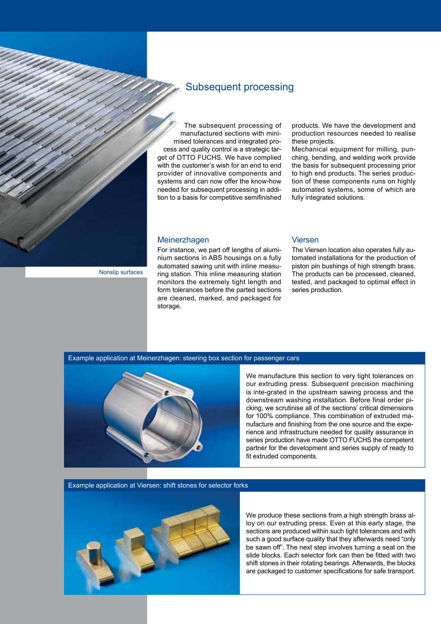

Subsequent processing

 The subsequent processing of manufactured sections with minimised tolerances and integrated process and quality control is a strategic target of OTTO FUCHS. We have complied with the customer's wish for an end to end provider of innovative components and systems and can now offer the know-how needed for subsequent processing in addition to a basis for competitive semifinished

products. We have the development and production resources needed to realise these projects.

Mechanical equipment for milling, punching, bending, and welding work provide the basis for subsequent processing prior to high end products. The series production of these components runs on highly automated systems, some of which are fully integrated solutions.

## Meinerzhagen

Nonslip surfaces

For instance, we part off lengths of aluminium sections in ABS housings on a fully automated sawing unit with inline measuring station. This inline measuring station monitors the extremely tight length and form tolerances before the parted sections are cleaned, marked, and packaged for storage.

### Viersen

The Viersen location also operates fully automated installations for the production of piston pin bushings of high strength brass. The products can be processed, cleaned, tested, and packaged to optimal effect in series production.

### Example application at Meinerzhagen: steering box section for passenger cars



We manufacture this section to very tight tolerances on our extruding press. Subsequent precision machining is inte-grated in the upstream sawing process and the downstream washing installation. Before final order picking, we scrutinise all of the sections' critical dimensions for 100% compliance. This combination of extruded manufacture and finishing from the one source and the experience and infrastructure needed for quality assurance in series production have made OTTO FUCHS the competent partner for the development and series supply of ready to fit extruded components.

Example application at Viersen: shift stones for selector forks



We produce these sections from a high strength brass alloy on our extruding press. Even at this early stage, the sections are produced within such tight tolerances and with such a good surface quality that they afterwards need "only be sawn off". The next step involves turning a seat on the slide blocks. Each selector fork can then be fitted with two shift stones in their rotating bearings. Afterwards, the blocks are packaged to customer specifications for safe transport.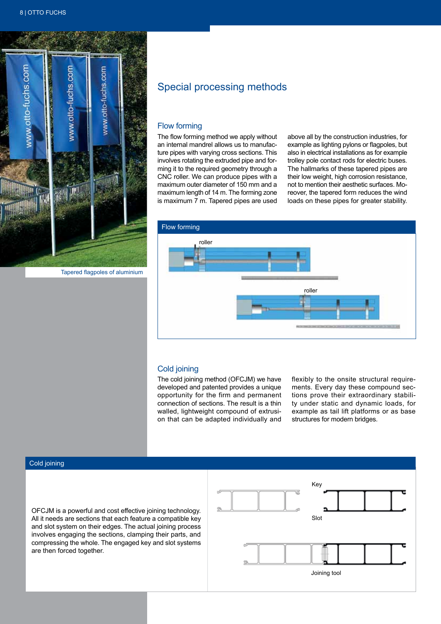

Tapered flagpoles of aluminium

# Special processing methods

#### Flow forming

The flow forming method we apply without an internal mandrel allows us to manufacture pipes with varying cross sections. This involves rotating the extruded pipe and forming it to the required geometry through a CNC roller. We can produce pipes with a maximum outer diameter of 150 mm and a maximum length of 14 m. The forming zone is maximum 7 m. Tapered pipes are used

above all by the construction industries, for example as lighting pylons or flagpoles, but also in electrical installations as for example trolley pole contact rods for electric buses. The hallmarks of these tapered pipes are their low weight, high corrosion resistance, not to mention their aesthetic surfaces. Moreover, the tapered form reduces the wind loads on these pipes for greater stability.



## Cold joining

The cold joining method (OFCJM) we have developed and patented provides a unique opportunity for the firm and permanent connection of sections. The result is a thin walled, lightweight compound of extrusion that can be adapted individually and flexibly to the onsite structural requirements. Every day these compound sections prove their extraordinary stability under static and dynamic loads, for example as tail lift platforms or as base structures for modern bridges.

#### Cold joining

OFCJM is a powerful and cost effective joining technology. All it needs are sections that each feature a compatible key and slot system on their edges. The actual joining process involves engaging the sections, clamping their parts, and compressing the whole. The engaged key and slot systems are then forced together.

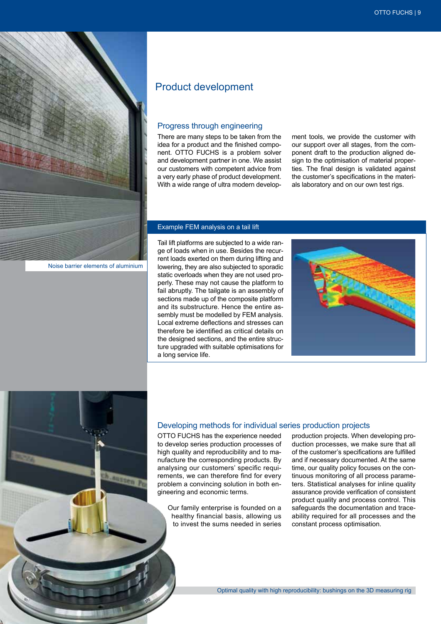

# Product development

## Progress through engineering

There are many steps to be taken from the idea for a product and the finished component. OTTO FUCHS is a problem solver and development partner in one. We assist our customers with competent advice from a very early phase of product development. With a wide range of ultra modern develop-

ment tools, we provide the customer with our support over all stages, from the component draft to the production aligned design to the optimisation of material properties. The final design is validated against the customer's specifications in the materials laboratory and on our own test rigs.

#### Example FEM analysis on a tail lift

Tail lift platforms are subjected to a wide range of loads when in use. Besides the recurrent loads exerted on them during lifting and lowering, they are also subjected to sporadic static overloads when they are not used properly. These may not cause the platform to fail abruptly. The tailgate is an assembly of sections made up of the composite platform and its substructure. Hence the entire assembly must be modelled by FEM analysis. Local extreme deflections and stresses can therefore be identified as critical details on the designed sections, and the entire structure upgraded with suitable optimisations for a long service life.



#### Developing methods for individual series production projects

OTTO FUCHS has the experience needed to develop series production processes of high quality and reproducibility and to manufacture the corresponding products. By analysing our customers' specific requirements, we can therefore find for every problem a convincing solution in both engineering and economic terms.

Our family enterprise is founded on a healthy financial basis, allowing us to invest the sums needed in series

production projects. When developing production processes, we make sure that all of the customer's specifications are fulfilled and if necessary documented. At the same time, our quality policy focuses on the continuous monitoring of all process parameters. Statistical analyses for inline quality assurance provide verification of consistent product quality and process control. This safeguards the documentation and traceability required for all processes and the constant process optimisation.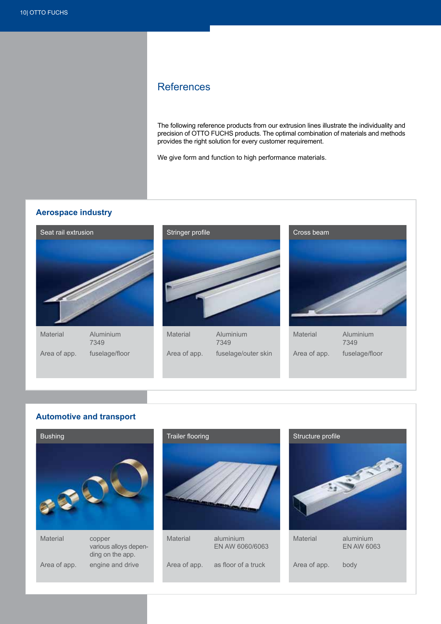# References

The following reference products from our extrusion lines illustrate the individuality and precision of OTTO FUCHS products. The optimal combination of materials and methods provides the right solution for every customer requirement.

We give form and function to high performance materials.

# **Aerospace industry**



# **Automotive and transport**



engine and drive

Area of app.

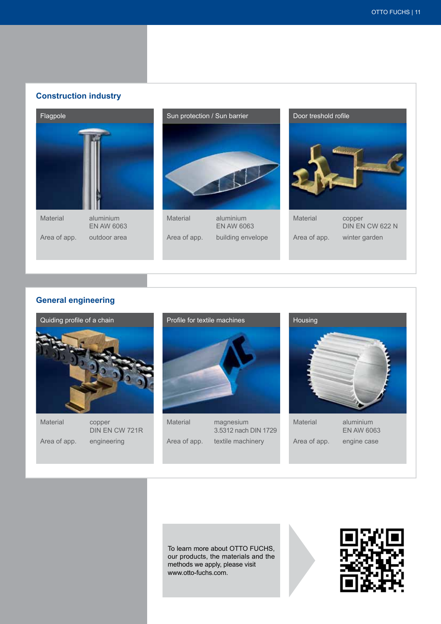# **Construction industry**





building envelope

Area of app.



# **General engineering**



To learn more about OTTO FUCHS, our products, the materials and the methods we apply, please visit www.otto-fuchs.com.